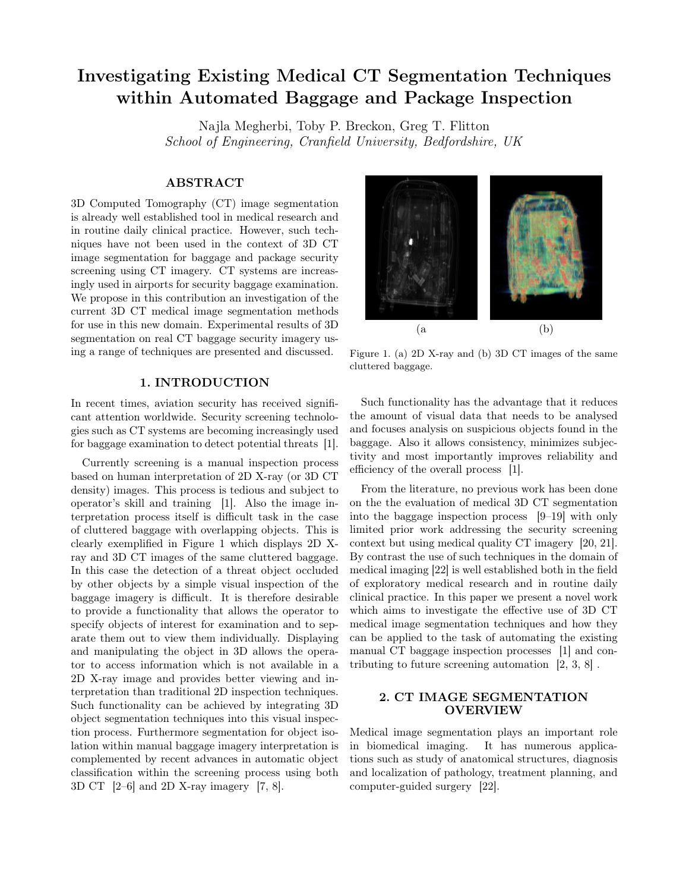# Investigating Existing Medical CT Segmentation Techniques within Automated Baggage and Package Inspection

Najla Megherbi, Toby P. Breckon, Greg T. Flitton School of Engineering, Cranfield University, Bedfordshire, UK

## ABSTRACT

3D Computed Tomography (CT) image segmentation is already well established tool in medical research and in routine daily clinical practice. However, such techniques have not been used in the context of 3D CT image segmentation for baggage and package security screening using CT imagery. CT systems are increasingly used in airports for security baggage examination. We propose in this contribution an investigation of the current 3D CT medical image segmentation methods for use in this new domain. Experimental results of 3D segmentation on real CT baggage security imagery using a range of techniques are presented and discussed.

## 1. INTRODUCTION

In recent times, aviation security has received significant attention worldwide. Security screening technologies such as CT systems are becoming increasingly used for baggage examination to detect potential threats [1].

Currently screening is a manual inspection process based on human interpretation of 2D X-ray (or 3D CT density) images. This process is tedious and subject to operator's skill and training [1]. Also the image interpretation process itself is difficult task in the case of cluttered baggage with overlapping objects. This is clearly exemplified in Figure 1 which displays 2D Xray and 3D CT images of the same cluttered baggage. In this case the detection of a threat object occluded by other objects by a simple visual inspection of the baggage imagery is difficult. It is therefore desirable to provide a functionality that allows the operator to specify objects of interest for examination and to separate them out to view them individually. Displaying and manipulating the object in 3D allows the operator to access information which is not available in a 2D X-ray image and provides better viewing and interpretation than traditional 2D inspection techniques. Such functionality can be achieved by integrating 3D object segmentation techniques into this visual inspection process. Furthermore segmentation for object isolation within manual baggage imagery interpretation is complemented by recent advances in automatic object classification within the screening process using both 3D CT [2–6] and 2D X-ray imagery [7, 8].



Figure 1. (a) 2D X-ray and (b) 3D CT images of the same cluttered baggage.

Such functionality has the advantage that it reduces the amount of visual data that needs to be analysed and focuses analysis on suspicious objects found in the baggage. Also it allows consistency, minimizes subjectivity and most importantly improves reliability and efficiency of the overall process [1].

From the literature, no previous work has been done on the the evaluation of medical 3D CT segmentation into the baggage inspection process [9–19] with only limited prior work addressing the security screening context but using medical quality CT imagery [20, 21]. By contrast the use of such techniques in the domain of medical imaging [22] is well established both in the field of exploratory medical research and in routine daily clinical practice. In this paper we present a novel work which aims to investigate the effective use of 3D CT medical image segmentation techniques and how they can be applied to the task of automating the existing manual CT baggage inspection processes [1] and contributing to future screening automation [2, 3, 8] .

## 2. CT IMAGE SEGMENTATION OVERVIEW

Medical image segmentation plays an important role in biomedical imaging. It has numerous applications such as study of anatomical structures, diagnosis and localization of pathology, treatment planning, and computer-guided surgery [22].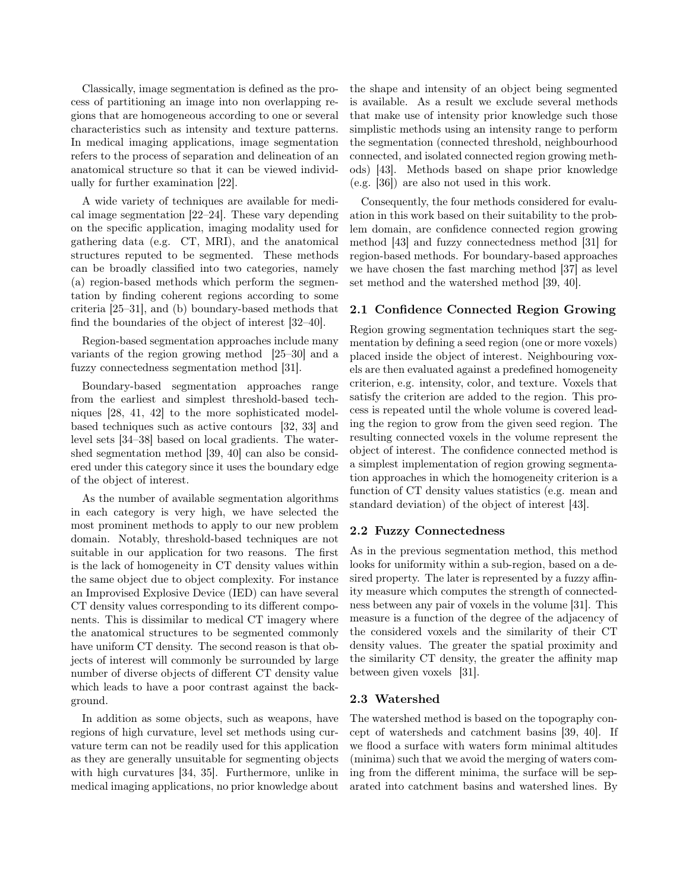Classically, image segmentation is defined as the process of partitioning an image into non overlapping regions that are homogeneous according to one or several characteristics such as intensity and texture patterns. In medical imaging applications, image segmentation refers to the process of separation and delineation of an anatomical structure so that it can be viewed individually for further examination [22].

A wide variety of techniques are available for medical image segmentation [22–24]. These vary depending on the specific application, imaging modality used for gathering data (e.g. CT, MRI), and the anatomical structures reputed to be segmented. These methods can be broadly classified into two categories, namely (a) region-based methods which perform the segmentation by finding coherent regions according to some criteria [25–31], and (b) boundary-based methods that find the boundaries of the object of interest [32–40].

Region-based segmentation approaches include many variants of the region growing method [25–30] and a fuzzy connectedness segmentation method [31].

Boundary-based segmentation approaches range from the earliest and simplest threshold-based techniques [28, 41, 42] to the more sophisticated modelbased techniques such as active contours [32, 33] and level sets [34–38] based on local gradients. The watershed segmentation method [39, 40] can also be considered under this category since it uses the boundary edge of the object of interest.

As the number of available segmentation algorithms in each category is very high, we have selected the most prominent methods to apply to our new problem domain. Notably, threshold-based techniques are not suitable in our application for two reasons. The first is the lack of homogeneity in CT density values within the same object due to object complexity. For instance an Improvised Explosive Device (IED) can have several CT density values corresponding to its different components. This is dissimilar to medical CT imagery where the anatomical structures to be segmented commonly have uniform CT density. The second reason is that objects of interest will commonly be surrounded by large number of diverse objects of different CT density value which leads to have a poor contrast against the background.

In addition as some objects, such as weapons, have regions of high curvature, level set methods using curvature term can not be readily used for this application as they are generally unsuitable for segmenting objects with high curvatures [34, 35]. Furthermore, unlike in medical imaging applications, no prior knowledge about

the shape and intensity of an object being segmented is available. As a result we exclude several methods that make use of intensity prior knowledge such those simplistic methods using an intensity range to perform the segmentation (connected threshold, neighbourhood connected, and isolated connected region growing methods) [43]. Methods based on shape prior knowledge (e.g. [36]) are also not used in this work.

Consequently, the four methods considered for evaluation in this work based on their suitability to the problem domain, are confidence connected region growing method [43] and fuzzy connectedness method [31] for region-based methods. For boundary-based approaches we have chosen the fast marching method [37] as level set method and the watershed method [39, 40].

# 2.1 Confidence Connected Region Growing

Region growing segmentation techniques start the segmentation by defining a seed region (one or more voxels) placed inside the object of interest. Neighbouring voxels are then evaluated against a predefined homogeneity criterion, e.g. intensity, color, and texture. Voxels that satisfy the criterion are added to the region. This process is repeated until the whole volume is covered leading the region to grow from the given seed region. The resulting connected voxels in the volume represent the object of interest. The confidence connected method is a simplest implementation of region growing segmentation approaches in which the homogeneity criterion is a function of CT density values statistics (e.g. mean and standard deviation) of the object of interest [43].

#### 2.2 Fuzzy Connectedness

As in the previous segmentation method, this method looks for uniformity within a sub-region, based on a desired property. The later is represented by a fuzzy affinity measure which computes the strength of connectedness between any pair of voxels in the volume [31]. This measure is a function of the degree of the adjacency of the considered voxels and the similarity of their CT density values. The greater the spatial proximity and the similarity CT density, the greater the affinity map between given voxels [31].

## 2.3 Watershed

The watershed method is based on the topography concept of watersheds and catchment basins [39, 40]. If we flood a surface with waters form minimal altitudes (minima) such that we avoid the merging of waters coming from the different minima, the surface will be separated into catchment basins and watershed lines. By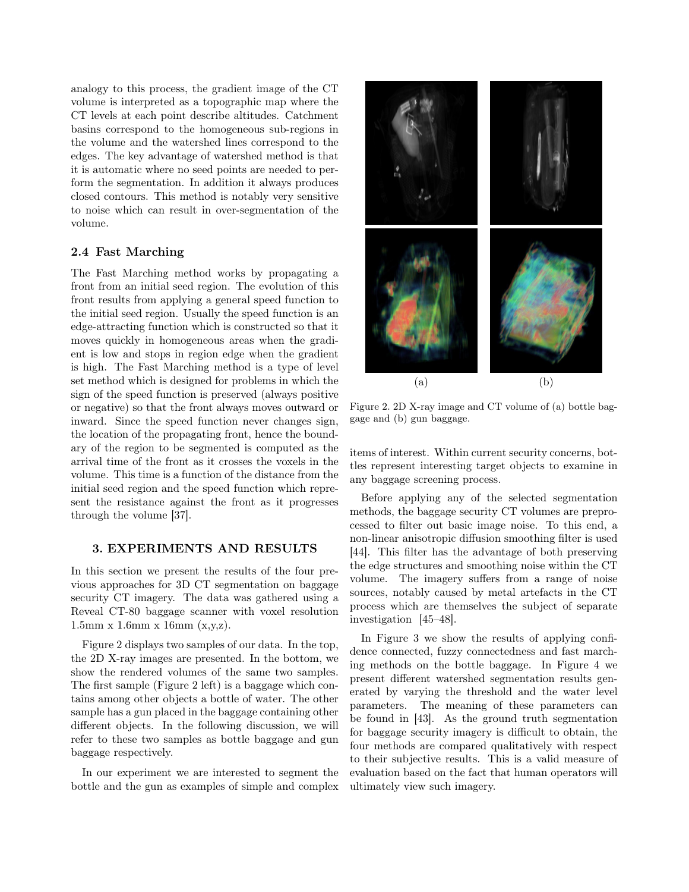analogy to this process, the gradient image of the CT volume is interpreted as a topographic map where the CT levels at each point describe altitudes. Catchment basins correspond to the homogeneous sub-regions in the volume and the watershed lines correspond to the edges. The key advantage of watershed method is that it is automatic where no seed points are needed to perform the segmentation. In addition it always produces closed contours. This method is notably very sensitive to noise which can result in over-segmentation of the volume.

#### 2.4 Fast Marching

The Fast Marching method works by propagating a front from an initial seed region. The evolution of this front results from applying a general speed function to the initial seed region. Usually the speed function is an edge-attracting function which is constructed so that it moves quickly in homogeneous areas when the gradient is low and stops in region edge when the gradient is high. The Fast Marching method is a type of level set method which is designed for problems in which the sign of the speed function is preserved (always positive or negative) so that the front always moves outward or inward. Since the speed function never changes sign, the location of the propagating front, hence the boundary of the region to be segmented is computed as the arrival time of the front as it crosses the voxels in the volume. This time is a function of the distance from the initial seed region and the speed function which represent the resistance against the front as it progresses through the volume [37].

#### 3. EXPERIMENTS AND RESULTS

In this section we present the results of the four previous approaches for 3D CT segmentation on baggage security CT imagery. The data was gathered using a Reveal CT-80 baggage scanner with voxel resolution  $1.5 \text{mm} \times 1.6 \text{mm} \times 16 \text{mm} \times (x,y,z).$ 

Figure 2 displays two samples of our data. In the top, the 2D X-ray images are presented. In the bottom, we show the rendered volumes of the same two samples. The first sample (Figure 2 left) is a baggage which contains among other objects a bottle of water. The other sample has a gun placed in the baggage containing other different objects. In the following discussion, we will refer to these two samples as bottle baggage and gun baggage respectively.

In our experiment we are interested to segment the bottle and the gun as examples of simple and complex



Figure 2. 2D X-ray image and CT volume of (a) bottle baggage and (b) gun baggage.

items of interest. Within current security concerns, bottles represent interesting target objects to examine in any baggage screening process.

Before applying any of the selected segmentation methods, the baggage security CT volumes are preprocessed to filter out basic image noise. To this end, a non-linear anisotropic diffusion smoothing filter is used [44]. This filter has the advantage of both preserving the edge structures and smoothing noise within the CT volume. The imagery suffers from a range of noise sources, notably caused by metal artefacts in the CT process which are themselves the subject of separate investigation [45–48].

In Figure 3 we show the results of applying confidence connected, fuzzy connectedness and fast marching methods on the bottle baggage. In Figure 4 we present different watershed segmentation results generated by varying the threshold and the water level parameters. The meaning of these parameters can be found in [43]. As the ground truth segmentation for baggage security imagery is difficult to obtain, the four methods are compared qualitatively with respect to their subjective results. This is a valid measure of evaluation based on the fact that human operators will ultimately view such imagery.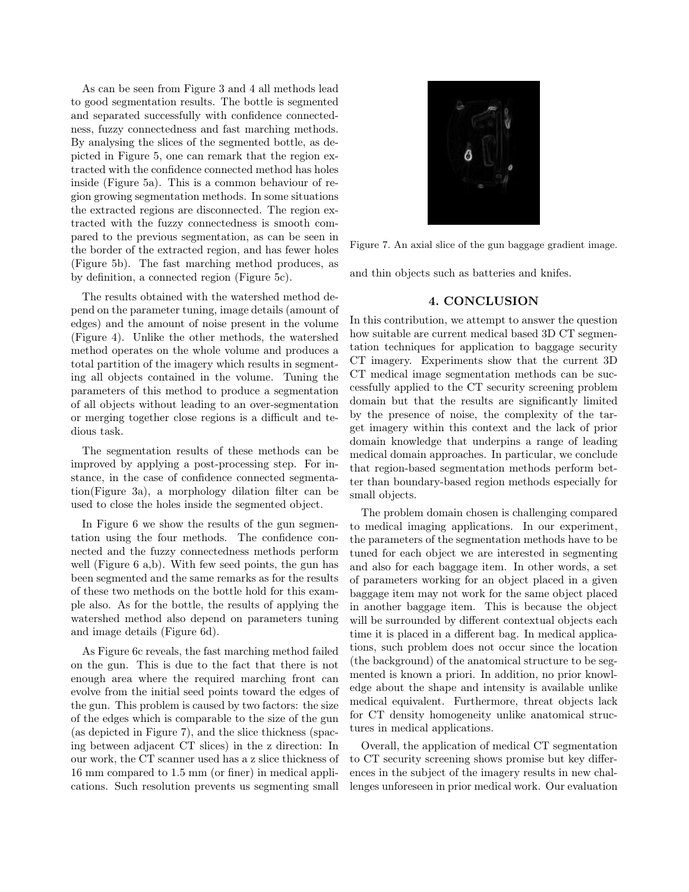As can be seen from Figure 3 and 4 all methods lead to good segmentation results. The bottle is segmented and separated successfully with confidence connectedness, fuzzy connectedness and fast marching methods. By analysing the slices of the segmented bottle, as depicted in Figure 5, one can remark that the region extracted with the confidence connected method has holes inside (Figure 5a). This is a common behaviour of region growing segmentation methods. In some situations the extracted regions are disconnected. The region extracted with the fuzzy connectedness is smooth compared to the previous segmentation, as can be seen in the border of the extracted region, and has fewer holes (Figure 5b). The fast marching method produces, as by definition, a connected region (Figure 5c).

The results obtained with the watershed method depend on the parameter tuning, image details (amount of edges) and the amount of noise present in the volume (Figure 4). Unlike the other methods, the watershed method operates on the whole volume and produces a total partition of the imagery which results in segmenting all objects contained in the volume. Tuning the parameters of this method to produce a segmentation of all objects without leading to an over-segmentation or merging together close regions is a difficult and tedious task.

The segmentation results of these methods can be improved by applying a post-processing step. For instance, in the case of confidence connected segmentation(Figure 3a), a morphology dilation filter can be used to close the holes inside the segmented object.

In Figure 6 we show the results of the gun segmentation using the four methods. The confidence connected and the fuzzy connectedness methods perform well (Figure 6 a,b). With few seed points, the gun has been segmented and the same remarks as for the results of these two methods on the bottle hold for this example also. As for the bottle, the results of applying the watershed method also depend on parameters tuning and image details (Figure 6d).

As Figure 6c reveals, the fast marching method failed on the gun. This is due to the fact that there is not enough area where the required marching front can evolve from the initial seed points toward the edges of the gun. This problem is caused by two factors: the size of the edges which is comparable to the size of the gun (as depicted in Figure 7), and the slice thickness (spacing between adjacent CT slices) in the z direction: In our work, the CT scanner used has a z slice thickness of 16 mm compared to 1.5 mm (or finer) in medical applications. Such resolution prevents us segmenting small



Figure 7. An axial slice of the gun baggage gradient image.

and thin objects such as batteries and knifes.

#### 4. CONCLUSION

In this contribution, we attempt to answer the question how suitable are current medical based 3D CT segmentation techniques for application to baggage security CT imagery. Experiments show that the current 3D CT medical image segmentation methods can be successfully applied to the CT security screening problem domain but that the results are significantly limited by the presence of noise, the complexity of the target imagery within this context and the lack of prior domain knowledge that underpins a range of leading medical domain approaches. In particular, we conclude that region-based segmentation methods perform better than boundary-based region methods especially for small objects.

The problem domain chosen is challenging compared to medical imaging applications. In our experiment, the parameters of the segmentation methods have to be tuned for each object we are interested in segmenting and also for each baggage item. In other words, a set of parameters working for an object placed in a given baggage item may not work for the same object placed in another baggage item. This is because the object will be surrounded by different contextual objects each time it is placed in a different bag. In medical applications, such problem does not occur since the location (the background) of the anatomical structure to be segmented is known a priori. In addition, no prior knowledge about the shape and intensity is available unlike medical equivalent. Furthermore, threat objects lack for CT density homogeneity unlike anatomical structures in medical applications.

Overall, the application of medical CT segmentation to CT security screening shows promise but key differences in the subject of the imagery results in new challenges unforeseen in prior medical work. Our evaluation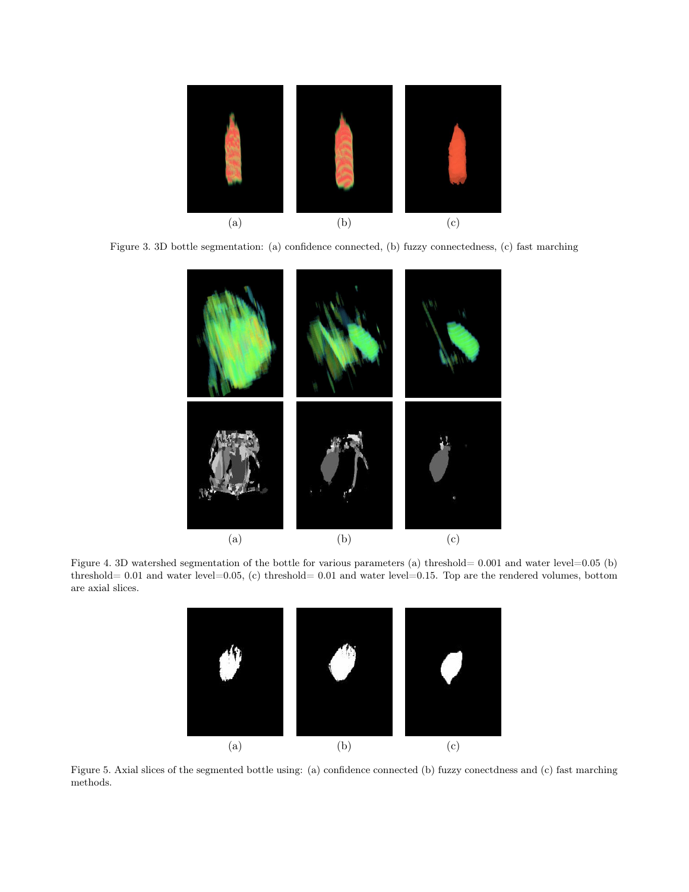

Figure 3. 3D bottle segmentation: (a) confidence connected, (b) fuzzy connectedness, (c) fast marching



Figure 4. 3D watershed segmentation of the bottle for various parameters (a) threshold= 0.001 and water level=0.05 (b) threshold=  $0.01$  and water level=0.05, (c) threshold= 0.01 and water level=0.15. Top are the rendered volumes, bottom are axial slices.



Figure 5. Axial slices of the segmented bottle using: (a) confidence connected (b) fuzzy conectdness and (c) fast marching methods.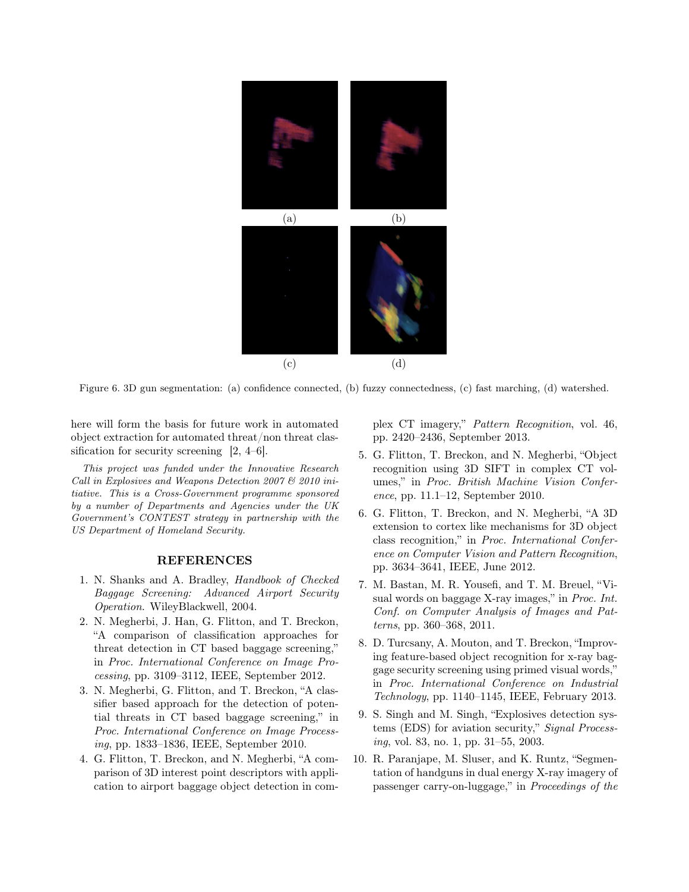

Figure 6. 3D gun segmentation: (a) confidence connected, (b) fuzzy connectedness, (c) fast marching, (d) watershed.

here will form the basis for future work in automated object extraction for automated threat/non threat classification for security screening [2, 4–6].

This project was funded under the Innovative Research Call in Explosives and Weapons Detection 2007 & 2010 initiative. This is a Cross-Government programme sponsored by a number of Departments and Agencies under the UK Government's CONTEST strategy in partnership with the US Department of Homeland Security.

#### REFERENCES

- 1. N. Shanks and A. Bradley, Handbook of Checked Baggage Screening: Advanced Airport Security Operation. WileyBlackwell, 2004.
- 2. N. Megherbi, J. Han, G. Flitton, and T. Breckon, "A comparison of classification approaches for threat detection in CT based baggage screening," in Proc. International Conference on Image Processing, pp. 3109–3112, IEEE, September 2012.
- 3. N. Megherbi, G. Flitton, and T. Breckon, "A classifier based approach for the detection of potential threats in CT based baggage screening," in Proc. International Conference on Image Processing, pp. 1833–1836, IEEE, September 2010.
- 4. G. Flitton, T. Breckon, and N. Megherbi, "A comparison of 3D interest point descriptors with application to airport baggage object detection in com-

plex CT imagery," Pattern Recognition, vol. 46, pp. 2420–2436, September 2013.

- 5. G. Flitton, T. Breckon, and N. Megherbi, "Object recognition using 3D SIFT in complex CT volumes," in Proc. British Machine Vision Conference, pp. 11.1–12, September 2010.
- 6. G. Flitton, T. Breckon, and N. Megherbi, "A 3D extension to cortex like mechanisms for 3D object class recognition," in Proc. International Conference on Computer Vision and Pattern Recognition, pp. 3634–3641, IEEE, June 2012.
- 7. M. Bastan, M. R. Yousefi, and T. M. Breuel, "Visual words on baggage X-ray images," in Proc. Int. Conf. on Computer Analysis of Images and Patterns, pp. 360–368, 2011.
- 8. D. Turcsany, A. Mouton, and T. Breckon, "Improving feature-based object recognition for x-ray baggage security screening using primed visual words," in Proc. International Conference on Industrial Technology, pp. 1140–1145, IEEE, February 2013.
- 9. S. Singh and M. Singh, "Explosives detection systems (EDS) for aviation security," Signal Processing, vol. 83, no. 1, pp. 31–55, 2003.
- 10. R. Paranjape, M. Sluser, and K. Runtz, "Segmentation of handguns in dual energy X-ray imagery of passenger carry-on-luggage," in Proceedings of the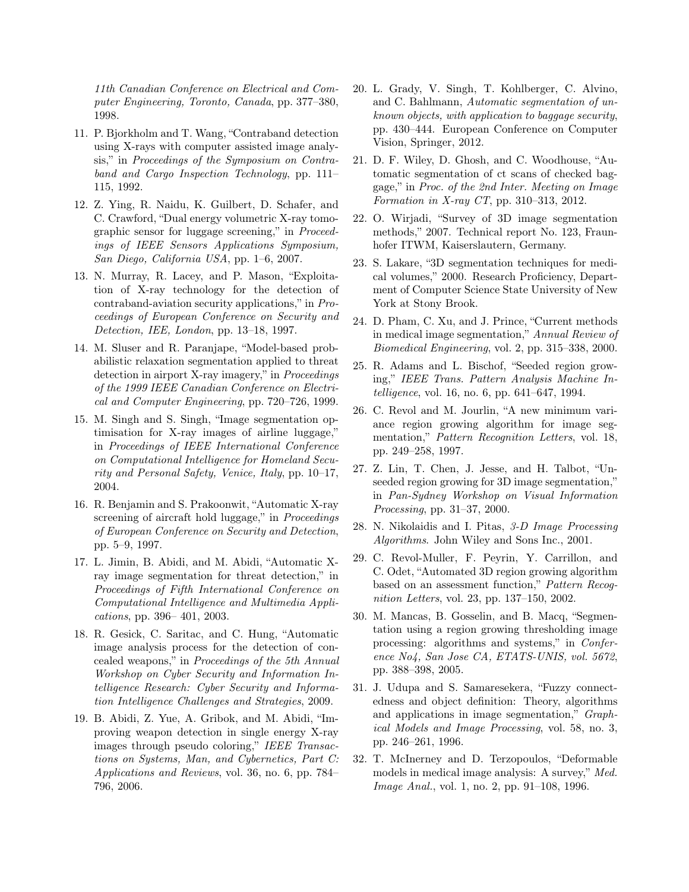11th Canadian Conference on Electrical and Computer Engineering, Toronto, Canada, pp. 377–380, 1998.

- 11. P. Bjorkholm and T. Wang, "Contraband detection using X-rays with computer assisted image analysis," in Proceedings of the Symposium on Contraband and Cargo Inspection Technology, pp. 111– 115, 1992.
- 12. Z. Ying, R. Naidu, K. Guilbert, D. Schafer, and C. Crawford, "Dual energy volumetric X-ray tomographic sensor for luggage screening," in Proceedings of IEEE Sensors Applications Symposium, San Diego, California USA, pp. 1–6, 2007.
- 13. N. Murray, R. Lacey, and P. Mason, "Exploitation of X-ray technology for the detection of contraband-aviation security applications," in Proceedings of European Conference on Security and Detection, IEE, London, pp. 13–18, 1997.
- 14. M. Sluser and R. Paranjape, "Model-based probabilistic relaxation segmentation applied to threat detection in airport X-ray imagery," in Proceedings of the 1999 IEEE Canadian Conference on Electrical and Computer Engineering, pp. 720–726, 1999.
- 15. M. Singh and S. Singh, "Image segmentation optimisation for X-ray images of airline luggage," in Proceedings of IEEE International Conference on Computational Intelligence for Homeland Security and Personal Safety, Venice, Italy, pp. 10–17, 2004.
- 16. R. Benjamin and S. Prakoonwit, "Automatic X-ray screening of aircraft hold luggage," in *Proceedings* of European Conference on Security and Detection, pp. 5–9, 1997.
- 17. L. Jimin, B. Abidi, and M. Abidi, "Automatic Xray image segmentation for threat detection," in Proceedings of Fifth International Conference on Computational Intelligence and Multimedia Applications, pp. 396– 401, 2003.
- 18. R. Gesick, C. Saritac, and C. Hung, "Automatic image analysis process for the detection of concealed weapons," in Proceedings of the 5th Annual Workshop on Cyber Security and Information Intelligence Research: Cyber Security and Information Intelligence Challenges and Strategies, 2009.
- 19. B. Abidi, Z. Yue, A. Gribok, and M. Abidi, "Improving weapon detection in single energy X-ray images through pseudo coloring," IEEE Transactions on Systems, Man, and Cybernetics, Part C: Applications and Reviews, vol. 36, no. 6, pp. 784– 796, 2006.
- 20. L. Grady, V. Singh, T. Kohlberger, C. Alvino, and C. Bahlmann, Automatic segmentation of unknown objects, with application to baggage security, pp. 430–444. European Conference on Computer Vision, Springer, 2012.
- 21. D. F. Wiley, D. Ghosh, and C. Woodhouse, "Automatic segmentation of ct scans of checked baggage," in Proc. of the 2nd Inter. Meeting on Image Formation in X-ray CT, pp. 310–313, 2012.
- 22. O. Wirjadi, "Survey of 3D image segmentation methods," 2007. Technical report No. 123, Fraunhofer ITWM, Kaiserslautern, Germany.
- 23. S. Lakare, "3D segmentation techniques for medical volumes," 2000. Research Proficiency, Department of Computer Science State University of New York at Stony Brook.
- 24. D. Pham, C. Xu, and J. Prince, "Current methods in medical image segmentation," Annual Review of Biomedical Engineering, vol. 2, pp. 315–338, 2000.
- 25. R. Adams and L. Bischof, "Seeded region growing," IEEE Trans. Pattern Analysis Machine Intelligence, vol. 16, no. 6, pp. 641–647, 1994.
- 26. C. Revol and M. Jourlin, "A new minimum variance region growing algorithm for image segmentation," *Pattern Recognition Letters*, vol. 18, pp. 249–258, 1997.
- 27. Z. Lin, T. Chen, J. Jesse, and H. Talbot, "Unseeded region growing for 3D image segmentation," in Pan-Sydney Workshop on Visual Information Processing, pp. 31–37, 2000.
- 28. N. Nikolaidis and I. Pitas, 3-D Image Processing Algorithms. John Wiley and Sons Inc., 2001.
- 29. C. Revol-Muller, F. Peyrin, Y. Carrillon, and C. Odet, "Automated 3D region growing algorithm based on an assessment function," Pattern Recognition Letters, vol. 23, pp. 137–150, 2002.
- 30. M. Mancas, B. Gosselin, and B. Macq, "Segmentation using a region growing thresholding image processing: algorithms and systems," in Conference No4, San Jose CA, ETATS-UNIS, vol. 5672, pp. 388–398, 2005.
- 31. J. Udupa and S. Samaresekera, "Fuzzy connectedness and object definition: Theory, algorithms and applications in image segmentation," Graphical Models and Image Processing, vol. 58, no. 3, pp. 246–261, 1996.
- 32. T. McInerney and D. Terzopoulos, "Deformable models in medical image analysis: A survey," Med. Image Anal., vol. 1, no. 2, pp. 91–108, 1996.